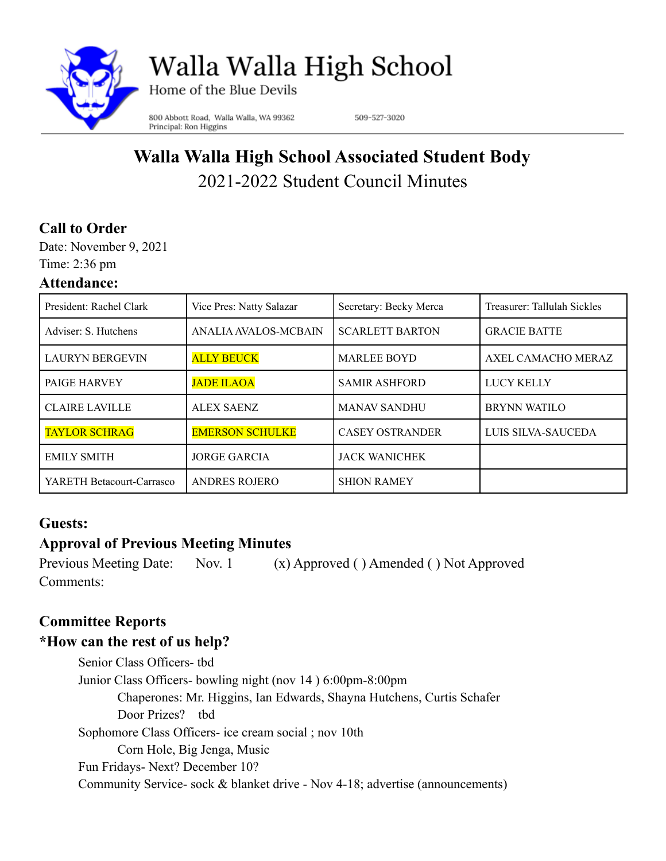

Walla Walla High School

Home of the Blue Devils

800 Abbott Road, Walla Walla, WA 99362 Principal: Ron Higgins

509-527-3020

# **Walla Walla High School Associated Student Body** 2021-2022 Student Council Minutes

## **Call to Order**

Date: November 9, 2021 Time: 2:36 pm

### **Attendance:**

| President: Rachel Clark   | Vice Pres: Natty Salazar | Secretary: Becky Merca | Treasurer: Tallulah Sickles |
|---------------------------|--------------------------|------------------------|-----------------------------|
| Adviser: S. Hutchens      | ANALIA AVALOS-MCBAIN     | <b>SCARLETT BARTON</b> | <b>GRACIE BATTE</b>         |
| <b>LAURYN BERGEVIN</b>    | <b>ALLY BEUCK</b>        | <b>MARLEE BOYD</b>     | AXEL CAMACHO MERAZ          |
| PAIGE HARVEY              | <b>JADE ILAOA</b>        | <b>SAMIR ASHFORD</b>   | <b>LUCY KELLY</b>           |
| <b>CLAIRE LAVILLE</b>     | <b>ALEX SAENZ</b>        | <b>MANAV SANDHU</b>    | <b>BRYNN WATILO</b>         |
| <b>TAYLOR SCHRAG</b>      | <b>EMERSON SCHULKE</b>   | <b>CASEY OSTRANDER</b> | LUIS SILVA-SAUCEDA          |
| <b>EMILY SMITH</b>        | <b>JORGE GARCIA</b>      | <b>JACK WANICHEK</b>   |                             |
| YARETH Betacourt-Carrasco | ANDRES ROJERO            | <b>SHION RAMEY</b>     |                             |

## **Guests:**

# **Approval of Previous Meeting Minutes**

Previous Meeting Date: Nov. 1 (x) Approved ( ) Amended ( ) Not Approved Comments:

## **Committee Reports**

## **\*How can the rest of us help?**

Senior Class Officers- tbd Junior Class Officers- bowling night (nov 14 ) 6:00pm-8:00pm Chaperones: Mr. Higgins, Ian Edwards, Shayna Hutchens, Curtis Schafer Door Prizes? tbd Sophomore Class Officers- ice cream social ; nov 10th Corn Hole, Big Jenga, Music Fun Fridays- Next? December 10? Community Service- sock & blanket drive - Nov 4-18; advertise (announcements)